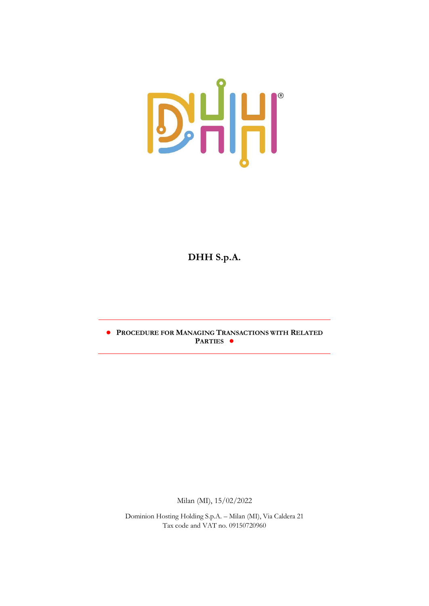

# **DHH S.p.A.**

**● PROCEDURE FOR MANAGING TRANSACTIONS WITH RELATED PARTIES ●**

Milan (MI), 15/02/2022

Dominion Hosting Holding S.p.A. – Milan (MI), Via Caldera 21 Tax code and VAT no. 09150720960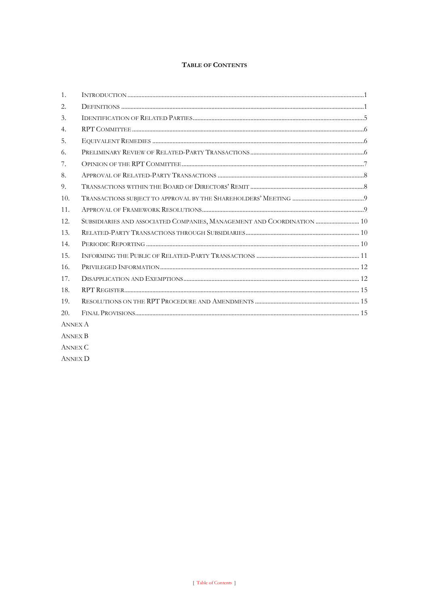# TABLE OF CONTENTS

| $\mathbf{1}$ . |                                                                        |  |
|----------------|------------------------------------------------------------------------|--|
| 2.             |                                                                        |  |
| 3.             |                                                                        |  |
| 4.             |                                                                        |  |
| 5.             |                                                                        |  |
| 6.             |                                                                        |  |
| 7.             |                                                                        |  |
| 8.             |                                                                        |  |
| 9.             |                                                                        |  |
| 10.            |                                                                        |  |
| 11.            |                                                                        |  |
| 12.            | SUBSIDIARIES AND ASSOCIATED COMPANIES, MANAGEMENT AND COORDINATION  10 |  |
| 13.            |                                                                        |  |
| 14.            |                                                                        |  |
| 15.            |                                                                        |  |
| 16.            |                                                                        |  |
| 17.            |                                                                        |  |
| 18.            |                                                                        |  |
| 19.            |                                                                        |  |
| 20.            |                                                                        |  |
| <b>ANNEX A</b> |                                                                        |  |
| <b>ANNEX B</b> |                                                                        |  |
| <b>ANNEX C</b> |                                                                        |  |

**ANNEX D**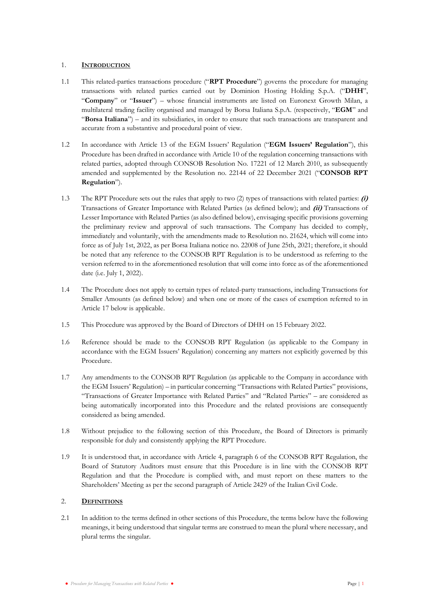# 1. **INTRODUCTION**

- 1.1 This related-parties transactions procedure ("**RPT Procedure**") governs the procedure for managing transactions with related parties carried out by Dominion Hosting Holding S.p.A. ("**DHH**", "**Company**" or "**Issuer**") – whose financial instruments are listed on Euronext Growth Milan, a multilateral trading facility organised and managed by Borsa Italiana S.p.A. (respectively, "**EGM**" and "**Borsa Italiana**") – and its subsidiaries, in order to ensure that such transactions are transparent and accurate from a substantive and procedural point of view.
- 1.2 In accordance with Article 13 of the EGM Issuers' Regulation ("**EGM Issuers' Regulation**"), this Procedure has been drafted in accordance with Article 10 of the regulation concerning transactions with related parties, adopted through CONSOB Resolution No. 17221 of 12 March 2010, as subsequently amended and supplemented by the Resolution no. 22144 of 22 December 2021 ("**CONSOB RPT Regulation**").
- 1.3 The RPT Procedure sets out the rules that apply to two (2) types of transactions with related parties: **(i)** Transactions of Greater Importance with Related Parties (as defined below); and **(ii)** Transactions of Lesser Importance with Related Parties (as also defined below), envisaging specific provisions governing the preliminary review and approval of such transactions. The Company has decided to comply, immediately and voluntarily, with the amendments made to Resolution no. 21624, which will come into force as of July 1st, 2022, as per Borsa Italiana notice no. 22008 of June 25th, 2021; therefore, it should be noted that any reference to the CONSOB RPT Regulation is to be understood as referring to the version referred to in the aforementioned resolution that will come into force as of the aforementioned date (i.e. July 1, 2022).
- 1.4 The Procedure does not apply to certain types of related-party transactions, including Transactions for Smaller Amounts (as defined below) and when one or more of the cases of exemption referred to in Article 17 below is applicable.
- 1.5 This Procedure was approved by the Board of Directors of DHH on 15 February 2022.
- 1.6 Reference should be made to the CONSOB RPT Regulation (as applicable to the Company in accordance with the EGM Issuers' Regulation) concerning any matters not explicitly governed by this Procedure.
- 1.7 Any amendments to the CONSOB RPT Regulation (as applicable to the Company in accordance with the EGM Issuers' Regulation) – in particular concerning "Transactions with Related Parties" provisions, "Transactions of Greater Importance with Related Parties" and "Related Parties" – are considered as being automatically incorporated into this Procedure and the related provisions are consequently considered as being amended.
- 1.8 Without prejudice to the following section of this Procedure, the Board of Directors is primarily responsible for duly and consistently applying the RPT Procedure.
- 1.9 It is understood that, in accordance with Article 4, paragraph 6 of the CONSOB RPT Regulation, the Board of Statutory Auditors must ensure that this Procedure is in line with the CONSOB RPT Regulation and that the Procedure is complied with, and must report on these matters to the Shareholders' Meeting as per the second paragraph of Article 2429 of the Italian Civil Code.

# 2. **DEFINITIONS**

2.1 In addition to the terms defined in other sections of this Procedure, the terms below have the following meanings, it being understood that singular terms are construed to mean the plural where necessary, and plural terms the singular.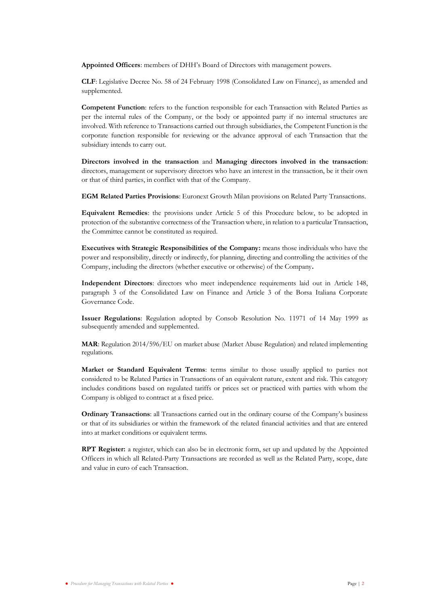**Appointed Officers**: members of DHH's Board of Directors with management powers.

**CLF**: Legislative Decree No. 58 of 24 February 1998 (Consolidated Law on Finance), as amended and supplemented.

**Competent Function**: refers to the function responsible for each Transaction with Related Parties as per the internal rules of the Company, or the body or appointed party if no internal structures are involved. With reference to Transactions carried out through subsidiaries, the Competent Function is the corporate function responsible for reviewing or the advance approval of each Transaction that the subsidiary intends to carry out.

**Directors involved in the transaction** and **Managing directors involved in the transaction**: directors, management or supervisory directors who have an interest in the transaction, be it their own or that of third parties, in conflict with that of the Company.

**EGM Related Parties Provisions**: Euronext Growth Milan provisions on Related Party Transactions.

**Equivalent Remedies**: the provisions under Article 5 of this Procedure below, to be adopted in protection of the substantive correctness of the Transaction where, in relation to a particular Transaction, the Committee cannot be constituted as required.

**Executives with Strategic Responsibilities of the Company:** means those individuals who have the power and responsibility, directly or indirectly, for planning, directing and controlling the activities of the Company, including the directors (whether executive or otherwise) of the Company**.**

**Independent Directors**: directors who meet independence requirements laid out in Article 148, paragraph 3 of the Consolidated Law on Finance and Article 3 of the Borsa Italiana Corporate Governance Code.

**Issuer Regulations**: Regulation adopted by Consob Resolution No. 11971 of 14 May 1999 as subsequently amended and supplemented.

**MAR**: Regulation 2014/596/EU on market abuse (Market Abuse Regulation) and related implementing regulations.

**Market or Standard Equivalent Terms**: terms similar to those usually applied to parties not considered to be Related Parties in Transactions of an equivalent nature, extent and risk. This category includes conditions based on regulated tariffs or prices set or practiced with parties with whom the Company is obliged to contract at a fixed price.

**Ordinary Transactions**: all Transactions carried out in the ordinary course of the Company's business or that of its subsidiaries or within the framework of the related financial activities and that are entered into at market conditions or equivalent terms.

**RPT Register:** a register, which can also be in electronic form, set up and updated by the Appointed Officers in which all Related-Party Transactions are recorded as well as the Related Party, scope, date and value in euro of each Transaction.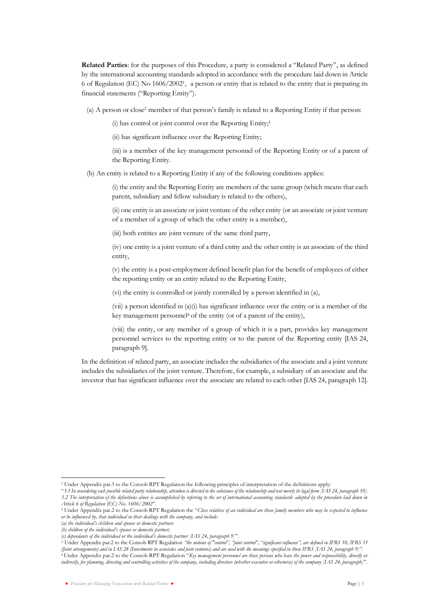**Related Parties**: for the purposes of this Procedure, a party is considered a "Related Party", as defined by the international accounting standards adopted in accordance with the procedure laid down in Article 6 of Regulation (EC) No 1606/2002 1 , a person or entity that is related to the entity that is preparing its financial statements ("Reporting Entity").

(a) A person or close<sup>2</sup> member of that person's family is related to a Reporting Entity if that person:

(i) has control or joint control over the Reporting Entity;<sup>3</sup>

(ii) has significant influence over the Reporting Entity;

(iii) is a member of the key management personnel of the Reporting Entity or of a parent of the Reporting Entity.

(b) An entity is related to a Reporting Entity if any of the following conditions applies:

(i) the entity and the Reporting Entity are members of the same group (which means that each parent, subsidiary and fellow subsidiary is related to the others),

(ii) one entity is an associate or joint venture of the other entity (or an associate or joint venture of a member of a group of which the other entity is a member),

(iii) both entities are joint venture of the same third party,

(iv) one entity is a joint venture of a third entity and the other entity is an associate of the third entity,

(v) the entity is a post-employment defined benefit plan for the benefit of employees of either the reporting entity or an entity related to the Reporting Entity,

(vi) the entity is controlled or jointly controlled by a person identified in (a),

(vii) a person identified in (a)(i) has significant influence over the entity or is a member of the key management personnel<sup>4</sup> of the entity (or of a parent of the entity),

(viii) the entity, or any member of a group of which it is a part, provides key management personnel services to the reporting entity or to the parent of the Reporting entity [IAS 24, paragraph 9].

In the definition of related party, an associate includes the subsidiaries of the associate and a joint venture includes the subsidiaries of the joint venture. Therefore, for example, a subsidiary of an associate and the investor that has significant influence over the associate are related to each other [IAS 24, paragraph 12].

<sup>1</sup> Under Appendix par.3 to the Consob RPT Regulation the following principles of interpretation of the definitions apply:

<sup>&</sup>quot;*3.1 In considering each possible related party relationship, attention is directed to the substance of the relationship and not merely its legal form [IAS 24, paragraph 10]. 3.2 The interpretation of the definitions above is accomplished by referring to the set of international accounting standards adopted by the procedure laid down in Article 6 of Regulation (EC) No. 1606/2002*".

<sup>2</sup> Under Appendix par.2 to the Consob RPT Regulation the "*Close relatives of an individual are those family members who may be expected to influence or be influenced by, that individual in their dealings with the company, and include:*

*<sup>(</sup>a) the individual's children and spouse or domestic partner;*

*<sup>(</sup>b) children of the individual's spouse or domestic partner;*

*<sup>(</sup>c) dependants of the individual or the individual's domestic partner [IAS 24, paragraph 9]*".

<sup>3</sup> Under Appendix par.2 to the Consob RPT Regulation *"the notions of "control", "joint control", "significant influence", are defined in IFRS 10, IFRS 11*  (Joint arrangements) and in LAS 28 (Investments in associates and joint ventures) and are used with the meanings specified in those IFRS [LAS 24, paragraph 9]<sup>11</sup> <sup>4</sup> Under Appendix par.2 to the Consob RPT Regulation "*Key management personnel are those persons who have the power and responsibility, directly or indirectly, for planning, directing and controlling activities of the company, including directors (whether executive or otherwise) of the company [IAS 24, paragraph]*".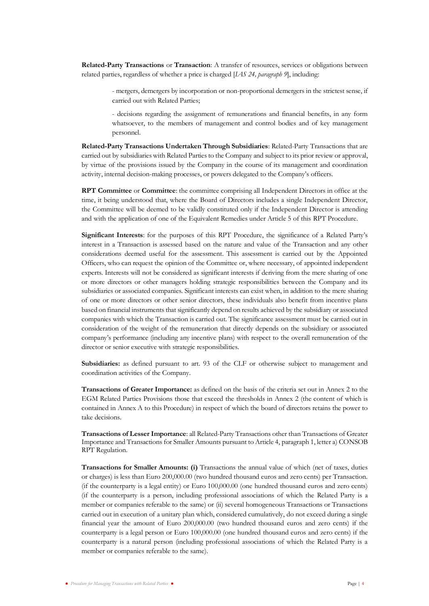**Related-Party Transactions** or **Transaction**: A transfer of resources, services or obligations between related parties, regardless of whether a price is charged [*IAS 24, paragraph 9*], including:

- mergers, demergers by incorporation or non-proportional demergers in the strictest sense, if carried out with Related Parties;

- decisions regarding the assignment of remunerations and financial benefits, in any form whatsoever, to the members of management and control bodies and of key management personnel.

**Related-Party Transactions Undertaken Through Subsidiaries**: Related-Party Transactions that are carried out by subsidiaries with Related Parties to the Company and subject to its prior review or approval, by virtue of the provisions issued by the Company in the course of its management and coordination activity, internal decision-making processes, or powers delegated to the Company's officers.

**RPT Committee** or **Committee**: the committee comprising all Independent Directors in office at the time, it being understood that, where the Board of Directors includes a single Independent Director, the Committee will be deemed to be validly constituted only if the Independent Director is attending and with the application of one of the Equivalent Remedies under Article 5 of this RPT Procedure.

**Significant Interests**: for the purposes of this RPT Procedure, the significance of a Related Party's interest in a Transaction is assessed based on the nature and value of the Transaction and any other considerations deemed useful for the assessment. This assessment is carried out by the Appointed Officers, who can request the opinion of the Committee or, where necessary, of appointed independent experts. Interests will not be considered as significant interests if deriving from the mere sharing of one or more directors or other managers holding strategic responsibilities between the Company and its subsidiaries or associated companies. Significant interests can exist when, in addition to the mere sharing of one or more directors or other senior directors, these individuals also benefit from incentive plans based on financial instruments that significantly depend on results achieved by the subsidiary or associated companies with which the Transaction is carried out. The significance assessment must be carried out in consideration of the weight of the remuneration that directly depends on the subsidiary or associated company's performance (including any incentive plans) with respect to the overall remuneration of the director or senior executive with strategic responsibilities.

**Subsidiaries:** as defined pursuant to art. 93 of the CLF or otherwise subject to management and coordination activities of the Company.

**Transactions of Greater Importance:** as defined on the basis of the criteria set out in Annex 2 to the EGM Related Parties Provisions those that exceed the thresholds in Annex 2 (the content of which is contained in Annex A to this Procedure) in respect of which the board of directors retains the power to take decisions.

**Transactions of Lesser Importance**: all Related-Party Transactions other than Transactions of Greater Importance and Transactions for Smaller Amounts pursuant to Article 4, paragraph 1, letter a) CONSOB RPT Regulation.

**Transactions for Smaller Amounts: (i)** Transactions the annual value of which (net of taxes, duties or charges) is less than Euro 200,000.00 (two hundred thousand euros and zero cents) per Transaction. (if the counterparty is a legal entity) or Euro 100,000.00 (one hundred thousand euros and zero cents) (if the counterparty is a person, including professional associations of which the Related Party is a member or companies referable to the same) or (ii) several homogeneous Transactions or Transactions carried out in execution of a unitary plan which, considered cumulatively, do not exceed during a single financial year the amount of Euro 200,000.00 (two hundred thousand euros and zero cents) if the counterparty is a legal person or Euro 100,000.00 (one hundred thousand euros and zero cents) if the counterparty is a natural person (including professional associations of which the Related Party is a member or companies referable to the same).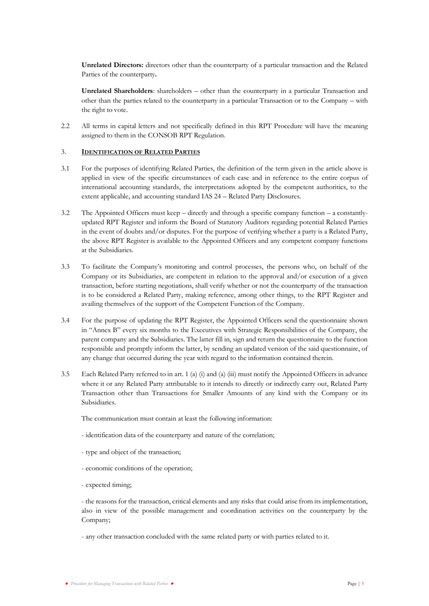**Unrelated Directors:** directors other than the counterparty of a particular transaction and the Related Parties of the counterparty**.**

**Unrelated Shareholders**: shareholders – other than the counterparty in a particular Transaction and other than the parties related to the counterparty in a particular Transaction or to the Company – with the right to vote.

2.2 All terms in capital letters and not specifically defined in this RPT Procedure will have the meaning assigned to them in the CONSOB RPT Regulation.

### <span id="page-6-0"></span>3. **IDENTIFICATION OF RELATED PARTIES**

- 3.1 For the purposes of identifying Related Parties, the definition of the term given in the article above is applied in view of the specific circumstances of each case and in reference to the entire corpus of international accounting standards, the interpretations adopted by the competent authorities, to the extent applicable, and accounting standard IAS 24 – Related Party Disclosures.
- 3.2 The Appointed Officers must keep directly and through a specific company function a constantlyupdated RPT Register and inform the Board of Statutory Auditors regarding potential Related Parties in the event of doubts and/or disputes. For the purpose of verifying whether a party is a Related Party, the above RPT Register is available to the Appointed Officers and any competent company functions at the Subsidiaries.
- 3.3 To facilitate the Company's monitoring and control processes, the persons who, on behalf of the Company or its Subsidiaries, are competent in relation to the approval and/or execution of a given transaction, before starting negotiations, shall verify whether or not the counterparty of the transaction is to be considered a Related Party, making reference, among other things, to the RPT Register and availing themselves of the support of the Competent Function of the Company.
- 3.4 For the purpose of updating the RPT Register, the Appointed Officers send the questionnaire shown in "Annex B" every six months to the Executives with Strategic Responsibilities of the Company, the parent company and the Subsidiaries. The latter fill in, sign and return the questionnaire to the function responsible and promptly inform the latter, by sending an updated version of the said questionnaire, of any change that occurred during the year with regard to the information contained therein.
- 3.5 Each Related Party referred to in art. 1 (a) (i) and (a) (iii) must notify the Appointed Officers in advance where it or any Related Party attributable to it intends to directly or indirectly carry out, Related Party Transaction other than Transactions for Smaller Amounts of any kind with the Company or its Subsidiaries.

The communication must contain at least the following information:

- identification data of the counterparty and nature of the correlation;
- type and object of the transaction;
- economic conditions of the operation;
- expected timing;

- the reasons for the transaction, critical elements and any risks that could arise from its implementation, also in view of the possible management and coordination activities on the counterparty by the Company;

- any other transaction concluded with the same related party or with parties related to it.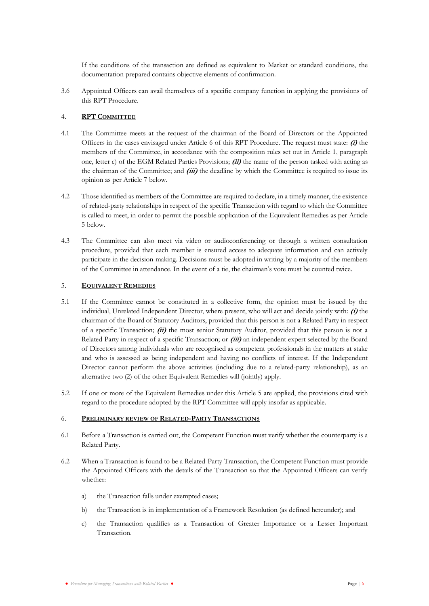If the conditions of the transaction are defined as equivalent to Market or standard conditions, the documentation prepared contains objective elements of confirmation.

3.6 Appointed Officers can avail themselves of a specific company function in applying the provisions of this RPT Procedure.

# <span id="page-7-0"></span>4. **RPT COMMITTEE**

- 4.1 The Committee meets at the request of the chairman of the Board of Directors or the Appointed Officers in the cases envisaged under Article [6](#page-7-2) of this RPT Procedure. The request must state: **(i)** the members of the Committee, in accordance with the composition rules set out in Article 1, paragraph one, letter c) of the EGM Related Parties Provisions; **(ii)** the name of the person tasked with acting as the chairman of the Committee; and **(iii)** the deadline by which the Committee is required to issue its opinion as per Articl[e 7](#page-8-0) below.
- 4.2 Those identified as members of the Committee are required to declare, in a timely manner, the existence of related-party relationships in respect of the specific Transaction with regard to which the Committee is called to meet, in order to permit the possible application of the Equivalent Remedies as per Article 5 below.
- 4.3 The Committee can also meet via video or audioconferencing or through a written consultation procedure, provided that each member is ensured access to adequate information and can actively participate in the decision-making. Decisions must be adopted in writing by a majority of the members of the Committee in attendance. In the event of a tie, the chairman's vote must be counted twice.

# <span id="page-7-1"></span>5. **EQUIVALENT REMEDIES**

- 5.1 If the Committee cannot be constituted in a collective form, the opinion must be issued by the individual, Unrelated Independent Director, where present, who will act and decide jointly with: **(i)** the chairman of the Board of Statutory Auditors, provided that this person is not a Related Party in respect of a specific Transaction; **(ii)** the most senior Statutory Auditor, provided that this person is not a Related Party in respect of a specific Transaction; or **(iii)** an independent expert selected by the Board of Directors among individuals who are recognised as competent professionals in the matters at stake and who is assessed as being independent and having no conflicts of interest. If the Independent Director cannot perform the above activities (including due to a related-party relationship), as an alternative two (2) of the other Equivalent Remedies will (jointly) apply.
- 5.2 If one or more of the Equivalent Remedies under this Article [5](#page-7-1) are applied, the provisions cited with regard to the procedure adopted by the RPT Committee will apply insofar as applicable.

### <span id="page-7-2"></span>6. **PRELIMINARY REVIEW OF RELATED-PARTY TRANSACTIONS**

- 6.1 Before a Transaction is carried out, the Competent Function must verify whether the counterparty is a Related Party.
- 6.2 When a Transaction is found to be a Related-Party Transaction, the Competent Function must provide the Appointed Officers with the details of the Transaction so that the Appointed Officers can verify whether:
	- a) the Transaction falls under exempted cases;
	- b) the Transaction is in implementation of a Framework Resolution (as defined hereunder); and
	- c) the Transaction qualifies as a Transaction of Greater Importance or a Lesser Important Transaction.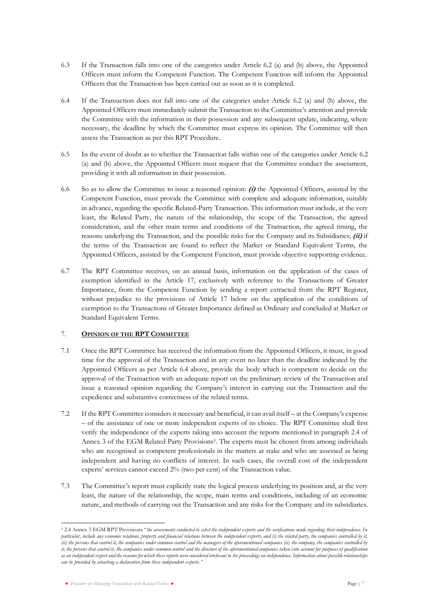- 6.3 If the Transaction falls into one of the categories under Article 6.2 (a) and (b) above, the Appointed Officers must inform the Competent Function. The Competent Function will inform the Appointed Officers that the Transaction has been carried out as soon as it is completed.
- 6.4 If the Transaction does not fall into one of the categories under Article 6.2 (a) and (b) above, the Appointed Officers must immediately submit the Transaction to the Committee's attention and provide the Committee with the information in their possession and any subsequent update, indicating, where necessary, the deadline by which the Committee must express its opinion. The Committee will then assess the Transaction as per this RPT Procedure.
- 6.5 In the event of doubt as to whether the Transaction falls within one of the categories under Article 6.2 (a) and (b) above, the Appointed Officers must request that the Committee conduct the assessment, providing it with all information in their possession.
- 6.6 So as to allow the Committee to issue a reasoned opinion: **(i)** the Appointed Officers, assisted by the Competent Function, must provide the Committee with complete and adequate information, suitably in advance, regarding the specific Related-Party Transaction. This information must include, at the very least, the Related Party, the nature of the relationship, the scope of the Transaction, the agreed consideration, and the other main terms and conditions of the Transaction, the agreed timing, the reasons underlying the Transaction, and the possible risks for the Company and its Subsidiaries; **(ii)** if the terms of the Transaction are found to reflect the Market or Standard Equivalent Terms, the Appointed Officers, assisted by the Competent Function, must provide objective supporting evidence.
- 6.7 The RPT Committee receives, on an annual basis, information on the application of the cases of exemption identified in the Article 17, exclusively with reference to the Transactions of Greater Importance, from the Competent Function by sending a report extracted from the RPT Register, without prejudice to the provisions of Article 17 below on the application of the conditions of exemption to the Transactions of Greater Importance defined as Ordinary and concluded at Market or Standard Equivalent Terms.

# <span id="page-8-0"></span>7. **OPINION OF THE RPT COMMITTEE**

- 7.1 Once the RPT Committee has received the information from the Appointed Officers, it must, in good time for the approval of the Transaction and in any event no later than the deadline indicated by the Appointed Officers as per Article 6.4 above, provide the body which is competent to decide on the approval of the Transaction with an adequate report on the preliminary review of the Transaction and issue a reasoned opinion regarding the Company's interest in carrying out the Transaction and the expedience and substantive correctness of the related terms.
- 7.2 If the RPT Committee considers it necessary and beneficial, it can avail itself at the Company's expense – of the assistance of one or more independent experts of its choice. The RPT Committee shall first verify the independence of the experts taking into account the reports mentioned in paragraph 2.4 of Annex 3 of the EGM Related Party Provisions<sup>5</sup>. The experts must be chosen from among individuals who are recognised as competent professionals in the matters at stake and who are assessed as being independent and having no conflicts of interest. In such cases, the overall cost of the independent experts' services cannot exceed 2% (two per cent) of the Transaction value.
- 7.3 The Committee's report must explicitly state the logical process underlying its position and, at the very least, the nature of the relationship, the scope, main terms and conditions, including of an economic nature, and methods of carrying out the Transaction and any risks for the Company and its subsidiaries.

<sup>5</sup> 2.4 Annex 3 EGM RPT Provisions "*the assessments conducted to select the independent experts and the verifications made regarding their independence. In particular, include any economic relations, property and financial relations between the independent experts, and (i) the related party, the companies controlled by it, (ii) the persons that control it, the companies under common control and the managers of the aforementioned companies (ii) the company, the companies controlled by it, the persons that control it, the companies under common control and the directors of the aforementioned companies taken into account for purposes of qualification as an independent expert and the reasons for which these reports were considered irrelevant to the proceedings on independence. Information about possible relationships can be provided by attaching a declaration from these independent experts."*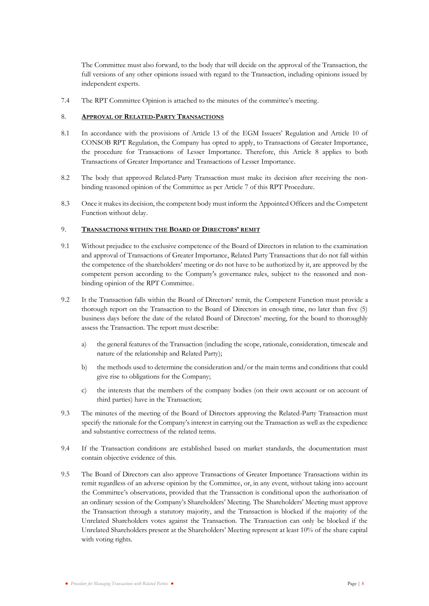The Committee must also forward, to the body that will decide on the approval of the Transaction, the full versions of any other opinions issued with regard to the Transaction, including opinions issued by independent experts.

7.4 The RPT Committee Opinion is attached to the minutes of the committee's meeting.

### <span id="page-9-0"></span>8. **APPROVAL OF RELATED-PARTY TRANSACTIONS**

- 8.1 In accordance with the provisions of Article 13 of the EGM Issuers' Regulation and Article 10 of CONSOB RPT Regulation, the Company has opted to apply, to Transactions of Greater Importance, the procedure for Transactions of Lesser Importance. Therefore, this Article [8](#page-9-0) applies to both Transactions of Greater Importance and Transactions of Lesser Importance.
- 8.2 The body that approved Related-Party Transaction must make its decision after receiving the nonbinding reasoned opinion of the Committee as per Article [7](#page-8-0) of this RPT Procedure.
- 8.3 Once it makes its decision, the competent body must inform the Appointed Officers and the Competent Function without delay.

#### <span id="page-9-1"></span>9. **TRANSACTIONS WITHIN THE BOARD OF DIRECTORS' REMIT**

- 9.1 Without prejudice to the exclusive competence of the Board of Directors in relation to the examination and approval of Transactions of Greater Importance, Related Party Transactions that do not fall within the competence of the shareholders' meeting or do not have to be authorized by it, are approved by the competent person according to the Company's governance rules, subject to the reasoned and nonbinding opinion of the RPT Committee.
- 9.2 It the Transaction falls within the Board of Directors' remit, the Competent Function must provide a thorough report on the Transaction to the Board of Directors in enough time, no later than five (5) business days before the date of the related Board of Directors' meeting, for the board to thoroughly assess the Transaction. The report must describe:
	- a) the general features of the Transaction (including the scope, rationale, consideration, timescale and nature of the relationship and Related Party);
	- b) the methods used to determine the consideration and/or the main terms and conditions that could give rise to obligations for the Company;
	- c) the interests that the members of the company bodies (on their own account or on account of third parties) have in the Transaction;
- 9.3 The minutes of the meeting of the Board of Directors approving the Related-Party Transaction must specify the rationale for the Company's interest in carrying out the Transaction as well as the expedience and substantive correctness of the related terms.
- 9.4 If the Transaction conditions are established based on market standards, the documentation must contain objective evidence of this.
- 9.5 The Board of Directors can also approve Transactions of Greater Importance Transactions within its remit regardless of an adverse opinion by the Committee, or, in any event, without taking into account the Committee's observations, provided that the Transaction is conditional upon the authorisation of an ordinary session of the Company's Shareholders' Meeting. The Shareholders' Meeting must approve the Transaction through a statutory majority, and the Transaction is blocked if the majority of the Unrelated Shareholders votes against the Transaction. The Transaction can only be blocked if the Unrelated Shareholders present at the Shareholders' Meeting represent at least 10% of the share capital with voting rights.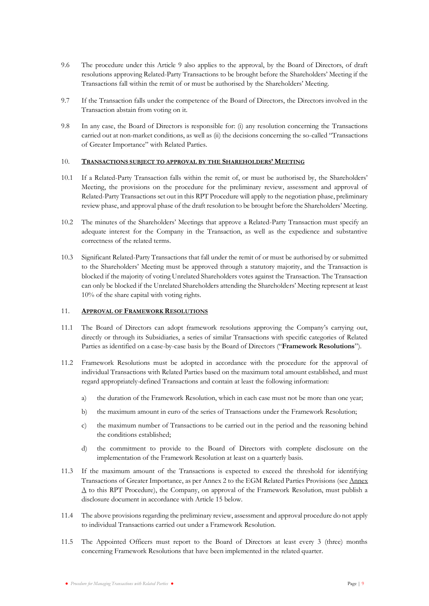- 9.6 The procedure under this Article [9](#page-9-1) also applies to the approval, by the Board of Directors, of draft resolutions approving Related-Party Transactions to be brought before the Shareholders' Meeting if the Transactions fall within the remit of or must be authorised by the Shareholders' Meeting.
- 9.7 If the Transaction falls under the competence of the Board of Directors, the Directors involved in the Transaction abstain from voting on it.
- 9.8 In any case, the Board of Directors is responsible for: (i) any resolution concerning the Transactions carried out at non-market conditions, as well as (ii) the decisions concerning the so-called "Transactions of Greater Importance" with Related Parties.

### <span id="page-10-0"></span>10. **TRANSACTIONS SUBJECT TO APPROVAL BY THE SHAREHOLDERS' MEETING**

- 10.1 If a Related-Party Transaction falls within the remit of, or must be authorised by, the Shareholders' Meeting, the provisions on the procedure for the preliminary review, assessment and approval of Related-Party Transactions set out in this RPT Procedure will apply to the negotiation phase, preliminary review phase, and approval phase of the draft resolution to be brought before the Shareholders' Meeting.
- 10.2 The minutes of the Shareholders' Meetings that approve a Related-Party Transaction must specify an adequate interest for the Company in the Transaction, as well as the expedience and substantive correctness of the related terms.
- 10.3 Significant Related-Party Transactions that fall under the remit of or must be authorised by or submitted to the Shareholders' Meeting must be approved through a statutory majority, and the Transaction is blocked if the majority of voting Unrelated Shareholders votes against the Transaction. The Transaction can only be blocked if the Unrelated Shareholders attending the Shareholders' Meeting represent at least 10% of the share capital with voting rights.

#### <span id="page-10-1"></span>11. **APPROVAL OF FRAMEWORK RESOLUTIONS**

- 11.1 The Board of Directors can adopt framework resolutions approving the Company's carrying out, directly or through its Subsidiaries, a series of similar Transactions with specific categories of Related Parties as identified on a case-by-case basis by the Board of Directors ("**Framework Resolutions**").
- 11.2 Framework Resolutions must be adopted in accordance with the procedure for the approval of individual Transactions with Related Parties based on the maximum total amount established, and must regard appropriately-defined Transactions and contain at least the following information:
	- a) the duration of the Framework Resolution, which in each case must not be more than one year;
	- b) the maximum amount in euro of the series of Transactions under the Framework Resolution;
	- c) the maximum number of Transactions to be carried out in the period and the reasoning behind the conditions established;
	- d) the commitment to provide to the Board of Directors with complete disclosure on the implementation of the Framework Resolution at least on a quarterly basis.
- 11.3 If the maximum amount of the Transactions is expected to exceed the threshold for identifying Transactions of Greater Importance, as per Annex 2 to the EGM Related Parties Provisions (see Annex  $\Delta$  to this RPT Procedure), the Company, on approval of the Framework Resolution, must publish a disclosure document in accordance with Article [15](#page-12-0) below.
- 11.4 The above provisions regarding the preliminary review, assessment and approval procedure do not apply to individual Transactions carried out under a Framework Resolution.
- 11.5 The Appointed Officers must report to the Board of Directors at least every 3 (three) months concerning Framework Resolutions that have been implemented in the related quarter.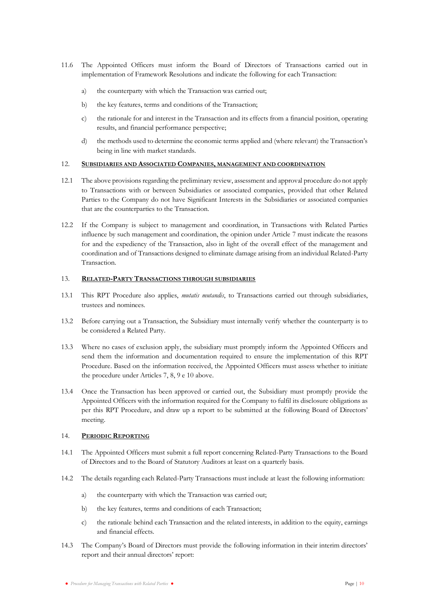- 11.6 The Appointed Officers must inform the Board of Directors of Transactions carried out in implementation of Framework Resolutions and indicate the following for each Transaction:
	- a) the counterparty with which the Transaction was carried out;
	- b) the key features, terms and conditions of the Transaction;
	- c) the rationale for and interest in the Transaction and its effects from a financial position, operating results, and financial performance perspective;
	- d) the methods used to determine the economic terms applied and (where relevant) the Transaction's being in line with market standards.

### <span id="page-11-0"></span>12. **SUBSIDIARIES AND ASSOCIATED COMPANIES, MANAGEMENT AND COORDINATION**

- 12.1 The above provisions regarding the preliminary review, assessment and approval procedure do not apply to Transactions with or between Subsidiaries or associated companies, provided that other Related Parties to the Company do not have Significant Interests in the Subsidiaries or associated companies that are the counterparties to the Transaction.
- 12.2 If the Company is subject to management and coordination, in Transactions with Related Parties influence by such management and coordination, the opinion under Article [7](#page-8-0) must indicate the reasons for and the expediency of the Transaction, also in light of the overall effect of the management and coordination and of Transactions designed to eliminate damage arising from an individual Related-Party Transaction.

#### <span id="page-11-1"></span>13. **RELATED-PARTY TRANSACTIONS THROUGH SUBSIDIARIES**

- 13.1 This RPT Procedure also applies, *mutatis mutandis*, to Transactions carried out through subsidiaries, trustees and nominees.
- 13.2 Before carrying out a Transaction, the Subsidiary must internally verify whether the counterparty is to be considered a Related Party.
- 13.3 Where no cases of exclusion apply, the subsidiary must promptly inform the Appointed Officers and send them the information and documentation required to ensure the implementation of this RPT Procedure. Based on the information received, the Appointed Officers must assess whether to initiate the procedure under Articles [7,](#page-8-0) [8,](#page-9-0) [9](#page-9-1) [e 10](#page-10-0) above.
- 13.4 Once the Transaction has been approved or carried out, the Subsidiary must promptly provide the Appointed Officers with the information required for the Company to fulfil its disclosure obligations as per this RPT Procedure, and draw up a report to be submitted at the following Board of Directors' meeting.

### <span id="page-11-2"></span>14. **PERIODIC REPORTING**

- 14.1 The Appointed Officers must submit a full report concerning Related-Party Transactions to the Board of Directors and to the Board of Statutory Auditors at least on a quarterly basis.
- 14.2 The details regarding each Related-Party Transactions must include at least the following information:
	- a) the counterparty with which the Transaction was carried out;
	- b) the key features, terms and conditions of each Transaction;
	- c) the rationale behind each Transaction and the related interests, in addition to the equity, earnings and financial effects.
- 14.3 The Company's Board of Directors must provide the following information in their interim directors' report and their annual directors' report: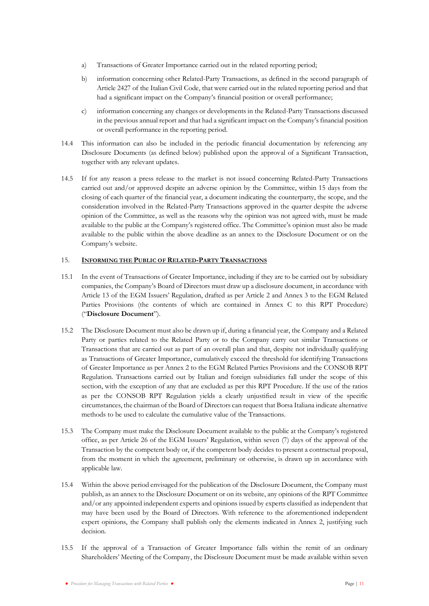- a) Transactions of Greater Importance carried out in the related reporting period;
- b) information concerning other Related-Party Transactions, as defined in the second paragraph of Article 2427 of the Italian Civil Code, that were carried out in the related reporting period and that had a significant impact on the Company's financial position or overall performance;
- c) information concerning any changes or developments in the Related-Party Transactions discussed in the previous annual report and that had a significant impact on the Company's financial position or overall performance in the reporting period.
- 14.4 This information can also be included in the periodic financial documentation by referencing any Disclosure Documents (as defined below) published upon the approval of a Significant Transaction, together with any relevant updates.
- 14.5 If for any reason a press release to the market is not issued concerning Related-Party Transactions carried out and/or approved despite an adverse opinion by the Committee, within 15 days from the closing of each quarter of the financial year, a document indicating the counterparty, the scope, and the consideration involved in the Related-Party Transactions approved in the quarter despite the adverse opinion of the Committee, as well as the reasons why the opinion was not agreed with, must be made available to the public at the Company's registered office. The Committee's opinion must also be made available to the public within the above deadline as an annex to the Disclosure Document or on the Company's website.

# <span id="page-12-0"></span>15. **INFORMING THE PUBLIC OF RELATED-PARTY TRANSACTIONS**

- 15.1 In the event of Transactions of Greater Importance, including if they are to be carried out by subsidiary companies, the Company's Board of Directors must draw up a disclosure document, in accordance with Article 13 of the EGM Issuers' Regulation, drafted as per Article 2 and Annex 3 to the EGM Related Parties Provisions (the contents of which are contained in Annex C to this RPT Procedure) ("**Disclosure Document**").
- 15.2 The Disclosure Document must also be drawn up if, during a financial year, the Company and a Related Party or parties related to the Related Party or to the Company carry out similar Transactions or Transactions that are carried out as part of an overall plan and that, despite not individually qualifying as Transactions of Greater Importance, cumulatively exceed the threshold for identifying Transactions of Greater Importance as per Annex 2 to the EGM Related Parties Provisions and the CONSOB RPT Regulation. Transactions carried out by Italian and foreign subsidiaries fall under the scope of this section, with the exception of any that are excluded as per this RPT Procedure. If the use of the ratios as per the CONSOB RPT Regulation yields a clearly unjustified result in view of the specific circumstances, the chairman of the Board of Directors can request that Borsa Italiana indicate alternative methods to be used to calculate the cumulative value of the Transactions.
- 15.3 The Company must make the Disclosure Document available to the public at the Company's registered office, as per Article 26 of the EGM Issuers' Regulation, within seven (7) days of the approval of the Transaction by the competent body or, if the competent body decides to present a contractual proposal, from the moment in which the agreement, preliminary or otherwise, is drawn up in accordance with applicable law.
- 15.4 Within the above period envisaged for the publication of the Disclosure Document, the Company must publish, as an annex to the Disclosure Document or on its website, any opinions of the RPT Committee and/or any appointed independent experts and opinions issued by experts classified as independent that may have been used by the Board of Directors. With reference to the aforementioned independent expert opinions, the Company shall publish only the elements indicated in Annex 2, justifying such decision.
- 15.5 If the approval of a Transaction of Greater Importance falls within the remit of an ordinary Shareholders' Meeting of the Company, the Disclosure Document must be made available within seven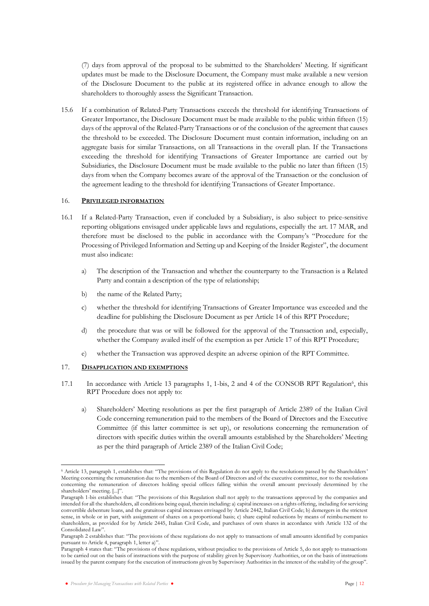(7) days from approval of the proposal to be submitted to the Shareholders' Meeting. If significant updates must be made to the Disclosure Document, the Company must make available a new version of the Disclosure Document to the public at its registered office in advance enough to allow the shareholders to thoroughly assess the Significant Transaction.

15.6 If a combination of Related-Party Transactions exceeds the threshold for identifying Transactions of Greater Importance, the Disclosure Document must be made available to the public within fifteen (15) days of the approval of the Related-Party Transactions or of the conclusion of the agreement that causes the threshold to be exceeded. The Disclosure Document must contain information, including on an aggregate basis for similar Transactions, on all Transactions in the overall plan. If the Transactions exceeding the threshold for identifying Transactions of Greater Importance are carried out by Subsidiaries, the Disclosure Document must be made available to the public no later than fifteen (15) days from when the Company becomes aware of the approval of the Transaction or the conclusion of the agreement leading to the threshold for identifying Transactions of Greater Importance.

#### 16. **PRIVILEGED INFORMATION**

- 16.1 If a Related-Party Transaction, even if concluded by a Subsidiary, is also subject to price-sensitive reporting obligations envisaged under applicable laws and regulations, especially the art. 17 MAR, and therefore must be disclosed to the public in accordance with the Company's "Procedure for the Processing of Privileged Information and Setting up and Keeping of the Insider Register", the document must also indicate:
	- a) The description of the Transaction and whether the counterparty to the Transaction is a Related Party and contain a description of the type of relationship;
	- b) the name of the Related Party;
	- c) whether the threshold for identifying Transactions of Greater Importance was exceeded and the deadline for publishing the Disclosure Document as per Article 14 of this RPT Procedure;
	- d) the procedure that was or will be followed for the approval of the Transaction and, especially, whether the Company availed itself of the exemption as per Article 17 of this RPT Procedure;
	- e) whether the Transaction was approved despite an adverse opinion of the RPT Committee.

### <span id="page-13-0"></span>17. **DISAPPLICATION AND EXEMPTIONS**

- 17.1 In accordance with Article 13 paragraphs 1, 1-bis, 2 and 4 of the CONSOB RPT Regulation<sup>6</sup>, this RPT Procedure does not apply to:
	- a) Shareholders' Meeting resolutions as per the first paragraph of Article 2389 of the Italian Civil Code concerning remuneration paid to the members of the Board of Directors and the Executive Committee (if this latter committee is set up), or resolutions concerning the remuneration of directors with specific duties within the overall amounts established by the Shareholders' Meeting as per the third paragraph of Article 2389 of the Italian Civil Code;

<sup>6</sup> Article 13, paragraph 1, establishes that: "The provisions of this Regulation do not apply to the resolutions passed by the Shareholders' Meeting concerning the remuneration due to the members of the Board of Directors and of the executive committee, nor to the resolutions concerning the remuneration of directors holding special offices falling within the overall amount previously determined by the shareholders' meeting. [...]".

Paragraph 1-bis establishes that: "The provisions of this Regulation shall not apply to the transactions approved by the companies and intended for all the shareholders, all conditions being equal, therein including: a) capital increases on a rights offering, including for servicing convertible debenture loans, and the gratuitous capital increases envisaged by Article 2442, Italian Civil Code; b) demergers in the strictest sense, in whole or in part, with assignment of shares on a proportional basis; c) share capital reductions by means of reimbu rsement to shareholders, as provided for by Article 2445, Italian Civil Code, and purchases of own shares in accordance with Article 132 of the Consolidated Law".

Paragraph 2 establishes that: "The provisions of these regulations do not apply to transactions of small amounts identified by companies pursuant to Article 4, paragraph 1, letter a)".

Paragraph 4 states that: "The provisions of these regulations, without prejudice to the provisions of Article 5, do not apply to transactions to be carried out on the basis of instructions with the purpose of stability given by Supervisory Authorities, or on the basis of instructions issued by the parent company for the execution of instructions given by Supervisory Authorities in the interest of the stabil ity of the group".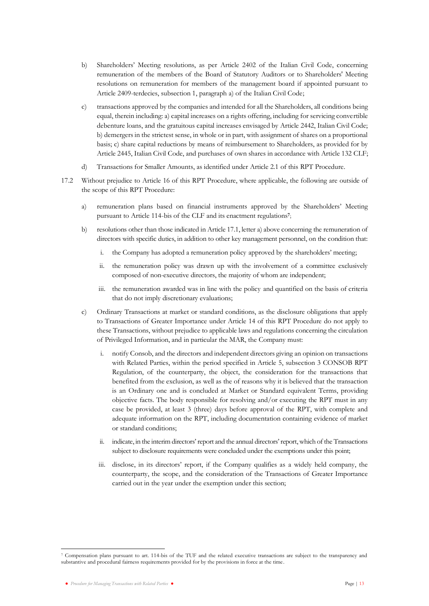- b) Shareholders' Meeting resolutions, as per Article 2402 of the Italian Civil Code, concerning remuneration of the members of the Board of Statutory Auditors or to Shareholders' Meeting resolutions on remuneration for members of the management board if appointed pursuant to Article 2409-terdecies, subsection 1, paragraph a) of the Italian Civil Code;
- c) transactions approved by the companies and intended for all the Shareholders, all conditions being equal, therein including: a) capital increases on a rights offering, including for servicing convertible debenture loans, and the gratuitous capital increases envisaged by Article 2442, Italian Civil Code; b) demergers in the strictest sense, in whole or in part, with assignment of shares on a proportional basis; c) share capital reductions by means of reimbursement to Shareholders, as provided for by Article 2445, Italian Civil Code, and purchases of own shares in accordance with Article 132 CLF;
- d) Transactions for Smaller Amounts, as identified under Article 2.1 of this RPT Procedure.
- 17.2 Without prejudice to Article 16 of this RPT Procedure, where applicable, the following are outside of the scope of this RPT Procedure:
	- a) remuneration plans based on financial instruments approved by the Shareholders' Meeting pursuant to Article 114-bis of the CLF and its enactment regulations**<sup>7</sup>** ;
	- b) resolutions other than those indicated in Article 17.1, letter a) above concerning the remuneration of directors with specific duties, in addition to other key management personnel, on the condition that:
		- i. the Company has adopted a remuneration policy approved by the shareholders' meeting;
		- ii. the remuneration policy was drawn up with the involvement of a committee exclusively composed of non-executive directors, the majority of whom are independent;
		- iii. the remuneration awarded was in line with the policy and quantified on the basis of criteria that do not imply discretionary evaluations;
	- c) Ordinary Transactions at market or standard conditions, as the disclosure obligations that apply to Transactions of Greater Importance under Article 14 of this RPT Procedure do not apply to these Transactions, without prejudice to applicable laws and regulations concerning the circulation of Privileged Information, and in particular the MAR, the Company must:
		- i. notify Consob, and the directors and independent directors giving an opinion on transactions with Related Parties, within the period specified in Article 5, subsection 3 CONSOB RPT Regulation, of the counterparty, the object, the consideration for the transactions that benefited from the exclusion, as well as the of reasons why it is believed that the transaction is an Ordinary one and is concluded at Market or Standard equivalent Terms, providing objective facts. The body responsible for resolving and/or executing the RPT must in any case be provided, at least 3 (three) days before approval of the RPT, with complete and adequate information on the RPT, including documentation containing evidence of market or standard conditions;
		- ii. indicate, in the interim directors' report and the annual directors' report, which of the Transactions subject to disclosure requirements were concluded under the exemptions under this point;
		- iii. disclose, in its directors' report, if the Company qualifies as a widely held company, the counterparty, the scope, and the consideration of the Transactions of Greater Importance carried out in the year under the exemption under this section;

<sup>7</sup> Compensation plans pursuant to art. 114-bis of the TUF and the related executive transactions are subject to the transparency and substantive and procedural fairness requirements provided for by the provisions in force at the time.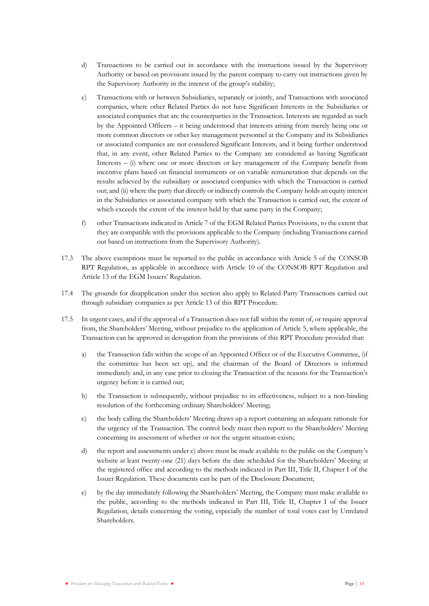- d) Transactions to be carried out in accordance with the instructions issued by the Supervisory Authority or based on provisions issued by the parent company to carry out instructions given by the Supervisory Authority in the interest of the group's stability;
- e) Transactions with or between Subsidiaries, separately or jointly, and Transactions with associated companies, where other Related Parties do not have Significant Interests in the Subsidiaries or associated companies that are the counterparties in the Transaction. Interests are regarded as such by the Appointed Officers – it being understood that interests arising from merely being one or more common directors or other key management personnel at the Company and its Subsidiaries or associated companies are not considered Significant Interests, and it being further understood that, in any event, other Related Parties to the Company are considered as having Significant Interests – (i) where one or more directors or key management of the Company benefit from incentive plans based on financial instruments or on variable remuneration that depends on the results achieved by the subsidiary or associated companies with which the Transaction is carried out; and (ii) where the party that directly or indirectly controls the Company holds an equity interest in the Subsidiaries or associated company with which the Transaction is carried out, the extent of which exceeds the extent of the interest held by that same party in the Company;
- f) other Transactions indicated in Article 7 of the EGM Related Parties Provisions, to the extent that they are compatible with the provisions applicable to the Company (including Transactions carried out based on instructions from the Supervisory Authority).
- 17.3 The above exemptions must be reported to the public in accordance with Article 5 of the CONSOB RPT Regulation, as applicable in accordance with Article 10 of the CONSOB RPT Regulation and Article 13 of the EGM Issuers' Regulation.
- 17.4 The grounds for disapplication under this section also apply to Related-Party Transactions carried out through subsidiary companies as per Article 13 of this RPT Procedure.
- 17.5 In urgent cases, and if the approval of a Transaction does not fall within the remit of, or require approval from, the Shareholders' Meeting, without prejudice to the application of Article 5, where applicable, the Transaction can be approved in derogation from the provisions of this RPT Procedure provided that:
	- a) the Transaction falls within the scope of an Appointed Officer or of the Executive Committee, (if the committee has been set up), and the chairman of the Board of Directors is informed immediately and, in any case prior to closing the Transaction of the reasons for the Transaction's urgency before it is carried out;
	- b) the Transaction is subsequently, without prejudice to its effectiveness, subject to a non-binding resolution of the forthcoming ordinary Shareholders' Meeting;
	- c) the body calling the Shareholders' Meeting draws up a report containing an adequate rationale for the urgency of the Transaction. The control body must then report to the Shareholders' Meeting concerning its assessment of whether or not the urgent situation exists;
	- d) the report and assessments under c) above must be made available to the public on the Company's website at least twenty-one (21) days before the date scheduled for the Shareholders' Meeting at the registered office and according to the methods indicated in Part III, Title II, Chapter I of the Issuer Regulation. These documents can be part of the Disclosure Document;
	- e) by the day immediately following the Shareholders' Meeting, the Company must make available to the public, according to the methods indicated in Part III, Title II, Chapter I of the Issuer Regulation, details concerning the voting, especially the number of total votes cast by Unrelated Shareholders.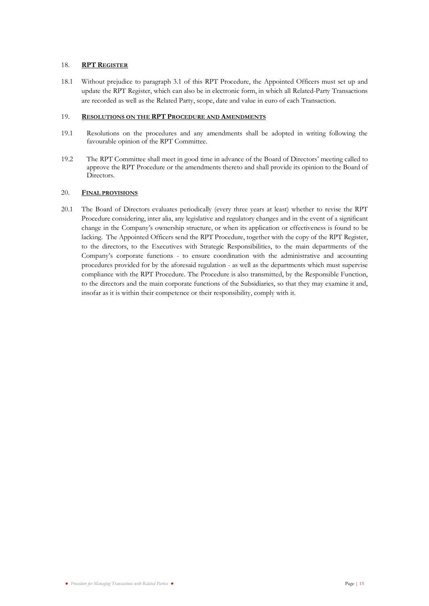### <span id="page-16-0"></span>18. **RPT REGISTER**

18.1 Without prejudice to paragraph 3.1 of this RPT Procedure, the Appointed Officers must set up and update the RPT Register, which can also be in electronic form, in which all Related-Party Transactions are recorded as well as the Related Party, scope, date and value in euro of each Transaction.

### 19. **RESOLUTIONS ON THE RPT PROCEDURE AND AMENDMENTS**

- 19.1 Resolutions on the procedures and any amendments shall be adopted in writing following the favourable opinion of the RPT Committee.
- 19.2 The RPT Committee shall meet in good time in advance of the Board of Directors' meeting called to approve the RPT Procedure or the amendments thereto and shall provide its opinion to the Board of Directors.

# <span id="page-16-1"></span>20. **FINAL PROVISIONS**

20.1 The Board of Directors evaluates periodically (every three years at least) whether to revise the RPT Procedure considering, inter alia, any legislative and regulatory changes and in the event of a significant change in the Company's ownership structure, or when its application or effectiveness is found to be lacking. The Appointed Officers send the RPT Procedure, together with the copy of the RPT Register, to the directors, to the Executives with Strategic Responsibilities, to the main departments of the Company's corporate functions - to ensure coordination with the administrative and accounting procedures provided for by the aforesaid regulation - as well as the departments which must supervise compliance with the RPT Procedure. The Procedure is also transmitted, by the Responsible Function, to the directors and the main corporate functions of the Subsidiaries, so that they may examine it and, insofar as it is within their competence or their responsibility, comply with it.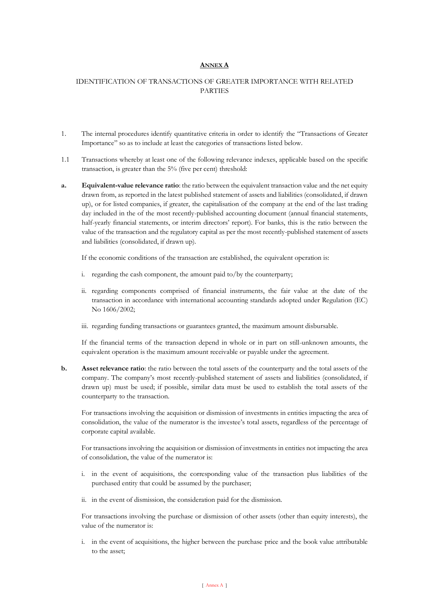# **ANNEX A**

# <span id="page-17-0"></span>IDENTIFICATION OF TRANSACTIONS OF GREATER IMPORTANCE WITH RELATED PARTIES

- 1. The internal procedures identify quantitative criteria in order to identify the "Transactions of Greater Importance" so as to include at least the categories of transactions listed below.
- 1.1 Transactions whereby at least one of the following relevance indexes, applicable based on the specific transaction, is greater than the 5% (five per cent) threshold:
- **a. Equivalent-value relevance ratio**: the ratio between the equivalent transaction value and the net equity drawn from, as reported in the latest published statement of assets and liabilities (consolidated, if drawn up), or for listed companies, if greater, the capitalisation of the company at the end of the last trading day included in the of the most recently-published accounting document (annual financial statements, half-yearly financial statements, or interim directors' report). For banks, this is the ratio between the value of the transaction and the regulatory capital as per the most recently-published statement of assets and liabilities (consolidated, if drawn up).

If the economic conditions of the transaction are established, the equivalent operation is:

- i. regarding the cash component, the amount paid to/by the counterparty;
- ii. regarding components comprised of financial instruments, the fair value at the date of the transaction in accordance with international accounting standards adopted under Regulation (EC) No 1606/2002;
- iii. regarding funding transactions or guarantees granted, the maximum amount disbursable.

If the financial terms of the transaction depend in whole or in part on still-unknown amounts, the equivalent operation is the maximum amount receivable or payable under the agreement.

**b. Asset relevance ratio**: the ratio between the total assets of the counterparty and the total assets of the company. The company's most recently-published statement of assets and liabilities (consolidated, if drawn up) must be used; if possible, similar data must be used to establish the total assets of the counterparty to the transaction.

For transactions involving the acquisition or dismission of investments in entities impacting the area of consolidation, the value of the numerator is the investee's total assets, regardless of the percentage of corporate capital available.

For transactions involving the acquisition or dismission of investments in entities not impacting the area of consolidation, the value of the numerator is:

- i. in the event of acquisitions, the corresponding value of the transaction plus liabilities of the purchased entity that could be assumed by the purchaser;
- ii. in the event of dismission, the consideration paid for the dismission.

For transactions involving the purchase or dismission of other assets (other than equity interests), the value of the numerator is:

i. in the event of acquisitions, the higher between the purchase price and the book value attributable to the asset;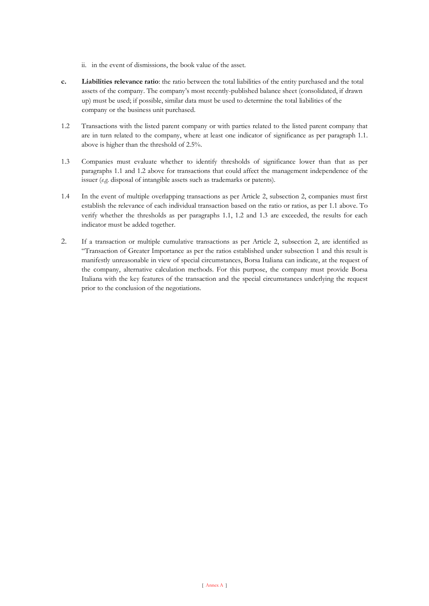- ii. in the event of dismissions, the book value of the asset.
- **c. Liabilities relevance ratio**: the ratio between the total liabilities of the entity purchased and the total assets of the company. The company's most recently-published balance sheet (consolidated, if drawn up) must be used; if possible, similar data must be used to determine the total liabilities of the company or the business unit purchased.
- 1.2 Transactions with the listed parent company or with parties related to the listed parent company that are in turn related to the company, where at least one indicator of significance as per paragraph 1.1. above is higher than the threshold of 2.5%.
- 1.3 Companies must evaluate whether to identify thresholds of significance lower than that as per paragraphs 1.1 and 1.2 above for transactions that could affect the management independence of the issuer (*e.g.* disposal of intangible assets such as trademarks or patents).
- 1.4 In the event of multiple overlapping transactions as per Article 2, subsection 2, companies must first establish the relevance of each individual transaction based on the ratio or ratios, as per 1.1 above. To verify whether the thresholds as per paragraphs 1.1, 1.2 and 1.3 are exceeded, the results for each indicator must be added together.
- 2. If a transaction or multiple cumulative transactions as per Article 2, subsection 2, are identified as "Transaction of Greater Importance as per the ratios established under subsection 1 and this result is manifestly unreasonable in view of special circumstances, Borsa Italiana can indicate, at the request of the company, alternative calculation methods. For this purpose, the company must provide Borsa Italiana with the key features of the transaction and the special circumstances underlying the request prior to the conclusion of the negotiations.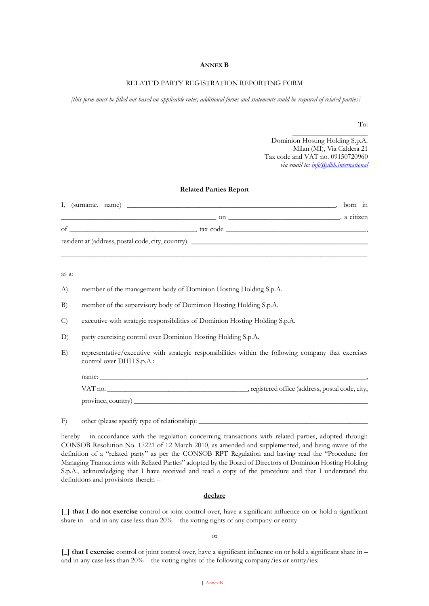#### **ANNEX B**

### RELATED PARTY REGISTRATION REPORTING FORM

*[this form must be filled out based on applicable rules; additional forms and statements could be required of related parties]*

To:

Dominion Hosting Holding S.p.A. Milan (MI), Via Caldera 21 Tax code and VAT no. 09150720960 *via email to[: info@dhh.international](mailto:info@dhh.international)*

 $\overline{\phantom{a}}$  , where  $\overline{\phantom{a}}$  , where  $\overline{\phantom{a}}$  , where  $\overline{\phantom{a}}$ 

#### **Related Parties Report**

| I.<br>(surname, name)                             |          | born in     |  |
|---------------------------------------------------|----------|-------------|--|
|                                                   | on       | , a citizen |  |
| of                                                | tax code |             |  |
| resident at (address, postal code, city, country) |          |             |  |

\_\_\_\_\_\_\_\_\_\_\_\_\_\_\_\_\_\_\_\_\_\_\_\_\_\_\_\_\_\_\_\_\_\_\_\_\_\_\_\_\_\_\_\_\_\_\_\_\_\_\_\_\_\_\_\_\_\_\_\_\_\_\_\_\_\_\_\_\_\_\_\_\_\_\_\_\_\_\_\_\_\_\_\_\_

as a:

- A) member of the management body of Dominion Hosting Holding S.p.A.
- B) member of the supervisory body of Dominion Hosting Holding S.p.A.
- C) executive with strategic responsibilities of Dominion Hosting Holding S.p.A.
- D) party exercising control over Dominion Hosting Holding S.p.A.
- E) representative/executive with strategic responsibilities within the following company that exercises control over DHH S.p.A.:

| name:              |                                                   |
|--------------------|---------------------------------------------------|
| VAT no.            | _, registered office (address, postal code, city, |
| province, country) |                                                   |

F) other (please specify type of relationship):

hereby – in accordance with the regulation concerning transactions with related parties, adopted through CONSOB Resolution No. 17221 of 12 March 2010, as amended and supplemented, and being aware of the definition of a "related party" as per the CONSOB RPT Regulation and having read the "Procedure for Managing Transactions with Related Parties" adopted by the Board of Directors of Dominion Hosting Holding S.p.A., acknowledging that I have received and read a copy of the procedure and that I understand the definitions and provisions therein –

#### **declare**

**[\_] that I do not exercise** control or joint control over, have a significant influence on or hold a significant share in – and in any case less than  $20%$  – the voting rights of any company or entity

or

**[\_] that I exercise** control or joint control over, have a significant influence on or hold a significant share in – and in any case less than 20% – the voting rights of the following company/ies or entity/ies: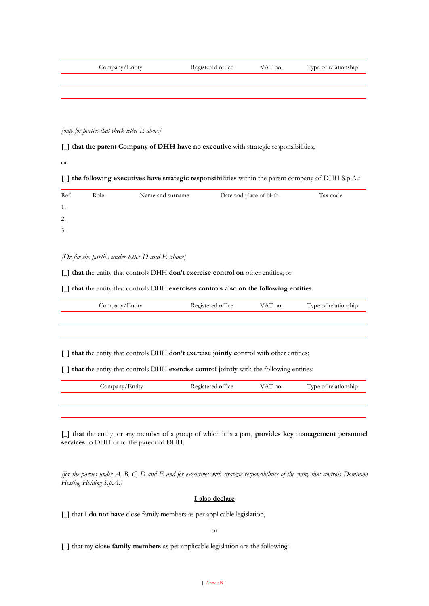| Company/Entity | Registered office | VAT no. | Type of relationship |
|----------------|-------------------|---------|----------------------|
|                |                   |         |                      |
|                |                   |         |                      |

*[only for parties that check letter E above]*

# **[\_] that the parent Company of DHH have no executive** with strategic responsibilities;

or

# **[\_] the following executives have strategic responsibilities** within the parent company of DHH S.p.A.:

| Ref. | Role | Name and surname | Date and place of birth | Tax code |
|------|------|------------------|-------------------------|----------|
| 1.   |      |                  |                         |          |
| 2.   |      |                  |                         |          |
| 3.   |      |                  |                         |          |

*[Or for the parties under letter D and E above]*

**[\_] that** the entity that controls DHH **don't exercise control on** other entities; or

**[\_] that** the entity that controls DHH **exercises controls also on the following entities**:

| Company/Entity                                                                                                                                                                                                      | Registered office | VAT no. | Type of relationship |  |  |  |
|---------------------------------------------------------------------------------------------------------------------------------------------------------------------------------------------------------------------|-------------------|---------|----------------------|--|--|--|
|                                                                                                                                                                                                                     |                   |         |                      |  |  |  |
|                                                                                                                                                                                                                     |                   |         |                      |  |  |  |
| $\lfloor \cdot \rfloor$ that the entity that controls DHH <b>don't exercise jointly control</b> with other entities;<br>[1] that the entity that controls DHH exercise control jointly with the following entities: |                   |         |                      |  |  |  |
|                                                                                                                                                                                                                     |                   |         |                      |  |  |  |
| Company/Entity                                                                                                                                                                                                      | Registered office | VAT no. | Type of relationship |  |  |  |

**[\_] that** the entity, or any member of a group of which it is a part, **provides key management personnel services** to DHH or to the parent of DHH.

*[for the parties under A, B, C, D and E and for executives with strategic responsibilities of the entity that controls Dominion Hosting Holding S.p.A.]*

### **I also declare**

**[\_]** that I **do not have** close family members as per applicable legislation,

or

**[\_]** that my **close family members** as per applicable legislation are the following: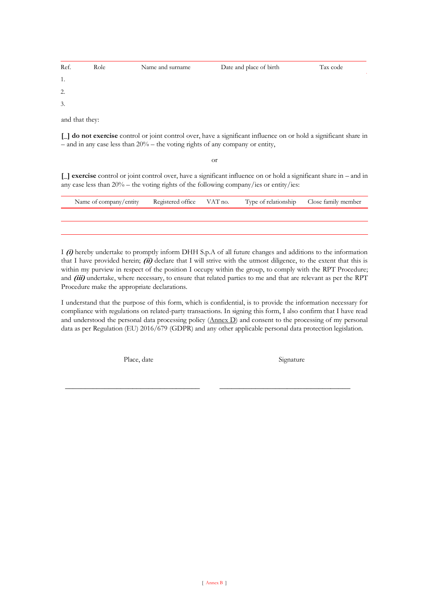| Ref. | Role | Name and surname | Date and place of birth | Tax code |
|------|------|------------------|-------------------------|----------|
| 1.   |      |                  |                         |          |
| 2.   |      |                  |                         |          |
| 3.   |      |                  |                         |          |

and that they:

**[\_] do not exercise** control or joint control over, have a significant influence on or hold a significant share in – and in any case less than 20% – the voting rights of any company or entity,

or

**[\_] exercise** control or joint control over, have a significant influence on or hold a significant share in – and in any case less than 20% – the voting rights of the following company/ies or entity/ies:

| Name of company/entity Registered office VAT no. |  | Type of relationship Close family member |  |
|--------------------------------------------------|--|------------------------------------------|--|
|                                                  |  |                                          |  |
|                                                  |  |                                          |  |

I **(i)** hereby undertake to promptly inform DHH S.p.A of all future changes and additions to the information that I have provided herein; **(ii)** declare that I will strive with the utmost diligence, to the extent that this is within my purview in respect of the position I occupy within the group, to comply with the RPT Procedure; and *(iii)* undertake, where necessary, to ensure that related parties to me and that are relevant as per the RPT Procedure make the appropriate declarations.

I understand that the purpose of this form, which is confidential, is to provide the information necessary for compliance with regulations on related-party transactions. In signing this form, I also confirm that I have read and understood the personal data processing policy (Annex D) and consent to the processing of my personal data as per Regulation (EU) 2016/679 (GDPR) and any other applicable personal data protection legislation.

Place, date

\_\_\_\_\_\_\_\_\_\_\_\_\_\_\_\_\_\_\_\_\_\_\_\_\_\_\_\_\_\_\_\_\_\_

Signature

\_\_\_\_\_\_\_\_\_\_\_\_\_\_\_\_\_\_\_\_\_\_\_\_\_\_\_\_\_\_\_\_\_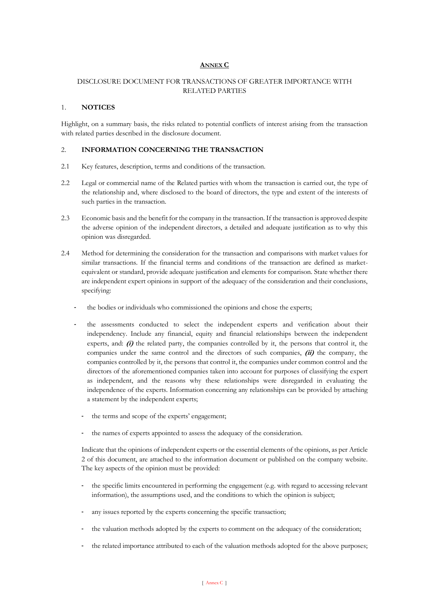# **ANNEX C**

# <span id="page-22-0"></span>DISCLOSURE DOCUMENT FOR TRANSACTIONS OF GREATER IMPORTANCE WITH RELATED PARTIES

### 1. **NOTICES**

Highlight, on a summary basis, the risks related to potential conflicts of interest arising from the transaction with related parties described in the disclosure document.

### 2. **INFORMATION CONCERNING THE TRANSACTION**

- 2.1 Key features, description, terms and conditions of the transaction.
- 2.2 Legal or commercial name of the Related parties with whom the transaction is carried out, the type of the relationship and, where disclosed to the board of directors, the type and extent of the interests of such parties in the transaction.
- 2.3 Economic basis and the benefit for the company in the transaction. If the transaction is approved despite the adverse opinion of the independent directors, a detailed and adequate justification as to why this opinion was disregarded.
- 2.4 Method for determining the consideration for the transaction and comparisons with market values for similar transactions. If the financial terms and conditions of the transaction are defined as marketequivalent or standard, provide adequate justification and elements for comparison. State whether there are independent expert opinions in support of the adequacy of the consideration and their conclusions, specifying:
	- the bodies or individuals who commissioned the opinions and chose the experts;
	- the assessments conducted to select the independent experts and verification about their independency. Include any financial, equity and financial relationships between the independent experts, and:  $(i)$  the related party, the companies controlled by it, the persons that control it, the companies under the same control and the directors of such companies, **(ii)** the company, the companies controlled by it, the persons that control it, the companies under common control and the directors of the aforementioned companies taken into account for purposes of classifying the expert as independent, and the reasons why these relationships were disregarded in evaluating the independence of the experts. Information concerning any relationships can be provided by attaching a statement by the independent experts;
		- the terms and scope of the experts' engagement;
		- the names of experts appointed to assess the adequacy of the consideration.

Indicate that the opinions of independent experts or the essential elements of the opinions, as per Article 2 of this document, are attached to the information document or published on the company website. The key aspects of the opinion must be provided:

- the specific limits encountered in performing the engagement (e.g. with regard to accessing relevant information), the assumptions used, and the conditions to which the opinion is subject;
- any issues reported by the experts concerning the specific transaction;
- the valuation methods adopted by the experts to comment on the adequacy of the consideration;
- the related importance attributed to each of the valuation methods adopted for the above purposes;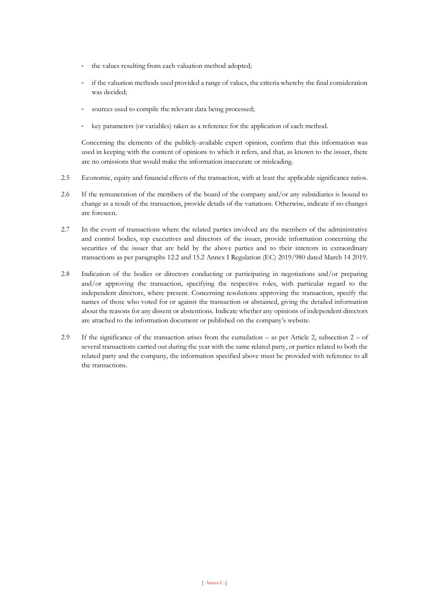- the values resulting from each valuation method adopted;
- if the valuation methods used provided a range of values, the criteria whereby the final consideration was decided;
- sources used to compile the relevant data being processed;
- key parameters (or variables) taken as a reference for the application of each method.

Concerning the elements of the publicly-available expert opinion, confirm that this information was used in keeping with the content of opinions to which it refers, and that, as known to the issuer, there are no omissions that would make the information inaccurate or misleading.

- 2.5 Economic, equity and financial effects of the transaction, with at least the applicable significance ratios.
- 2.6 If the remuneration of the members of the board of the company and/or any subsidiaries is bound to change as a result of the transaction, provide details of the variations. Otherwise, indicate if no changes are foreseen.
- 2.7 In the event of transactions where the related parties involved are the members of the administrative and control bodies, top executives and directors of the issuer, provide information concerning the securities of the issuer that are held by the above parties and to their interests in extraordinary transactions as per paragraphs 12.2 and 15.2 Annex I Regulation (EC) 2019/980 dated March 14 2019.
- 2.8 Indication of the bodies or directors conducting or participating in negotiations and/or preparing and/or approving the transaction, specifying the respective roles, with particular regard to the independent directors, where present. Concerning resolutions approving the transaction, specify the names of those who voted for or against the transaction or abstained, giving the detailed information about the reasons for any dissent or abstentions. Indicate whether any opinions of independent directors are attached to the information document or published on the company's website.
- 2.9 If the significance of the transaction arises from the cumulation as per Article 2, subsection  $2 of$ several transactions carried out during the year with the same related party, or parties related to both the related party and the company, the information specified above must be provided with reference to all the transactions.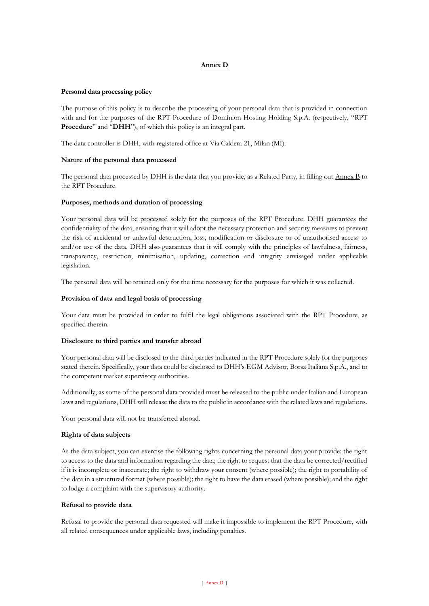# **Annex D**

### **Personal data processing policy**

The purpose of this policy is to describe the processing of your personal data that is provided in connection with and for the purposes of the RPT Procedure of Dominion Hosting Holding S.p.A. (respectively, "RPT **Procedure**" and "**DHH**"), of which this policy is an integral part.

The data controller is DHH, with registered office at Via Caldera 21, Milan (MI).

### **Nature of the personal data processed**

The personal data processed by DHH is the data that you provide, as a Related Party, in filling out Annex B to the RPT Procedure.

### **Purposes, methods and duration of processing**

Your personal data will be processed solely for the purposes of the RPT Procedure. DHH guarantees the confidentiality of the data, ensuring that it will adopt the necessary protection and security measures to prevent the risk of accidental or unlawful destruction, loss, modification or disclosure or of unauthorised access to and/or use of the data. DHH also guarantees that it will comply with the principles of lawfulness, fairness, transparency, restriction, minimisation, updating, correction and integrity envisaged under applicable legislation.

The personal data will be retained only for the time necessary for the purposes for which it was collected.

### **Provision of data and legal basis of processing**

Your data must be provided in order to fulfil the legal obligations associated with the RPT Procedure, as specified therein.

#### **Disclosure to third parties and transfer abroad**

Your personal data will be disclosed to the third parties indicated in the RPT Procedure solely for the purposes stated therein. Specifically, your data could be disclosed to DHH's EGM Advisor, Borsa Italiana S.p.A., and to the competent market supervisory authorities.

Additionally, as some of the personal data provided must be released to the public under Italian and European laws and regulations, DHH will release the data to the public in accordance with the related laws and regulations.

Your personal data will not be transferred abroad.

#### **Rights of data subjects**

As the data subject, you can exercise the following rights concerning the personal data your provide: the right to access to the data and information regarding the data; the right to request that the data be corrected/rectified if it is incomplete or inaccurate; the right to withdraw your consent (where possible); the right to portability of the data in a structured format (where possible); the right to have the data erased (where possible); and the right to lodge a complaint with the supervisory authority.

#### **Refusal to provide data**

Refusal to provide the personal data requested will make it impossible to implement the RPT Procedure, with all related consequences under applicable laws, including penalties.